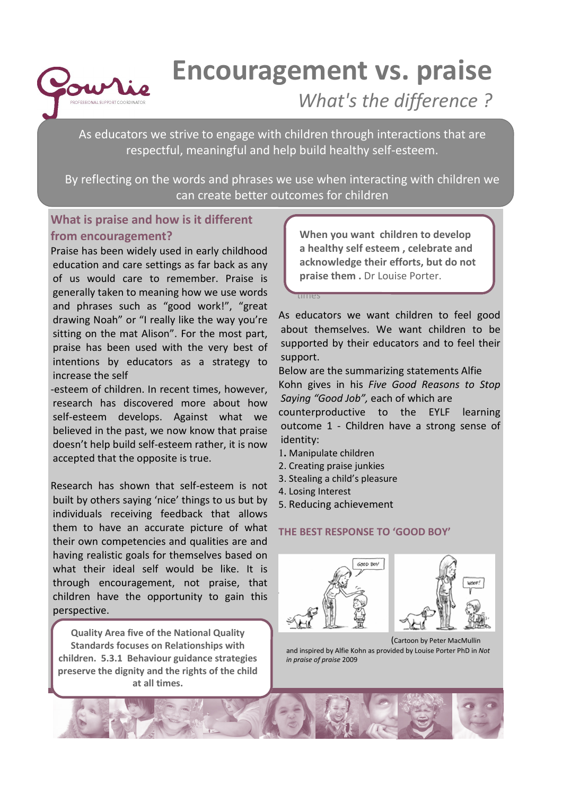

# Encouragement vs. praise What's the difference ?

As educators we strive to engage with children through interactions that are respectful, meaningful and help build healthy self-esteem.

By reflecting on the words and phrases we use when interacting with children we can create better outcomes for children

### What is praise and how is it different from encouragement?

Praise has been widely used in early childhood education and care settings as far back as any of us would care to remember. Praise is generally taken to meaning how we use words and phrases such as "good work!", "great drawing Noah" or "I really like the way you're sitting on the mat Alison". For the most part, praise has been used with the very best of intentions by educators as a strategy to increase the self

-esteem of children. In recent times, however, research has discovered more about how self-esteem develops. Against what we believed in the past, we now know that praise doesn't help build self-esteem rather, it is now accepted that the opposite is true.

Research has shown that self-esteem is not built by others saying 'nice' things to us but by individuals receiving feedback that allows them to have an accurate picture of what their own competencies and qualities are and having realistic goals for themselves based on what their ideal self would be like. It is through encouragement, not praise, that children have the opportunity to gain this perspective.

Quality Area five of the National Quality Standards focuses on Relationships with children. 5.3.1 Behaviour guidance strategies preserve the dignity and the rights of the child at all times.

a healthy self esteem, celebrate and acknowledge their efforts, but do not 5.3.1 Behaviour guidance strategies preserve praise them . Dr Louise Porter. praise them . Dr coulse rights . When you want children to develop

As educators we want children to feel good about themselves. We want children to be supported by their educators and to feel their support.

Below are the summarizing statements Alfie Kohn gives in his Five Good Reasons to Stop Saying "Good Job", each of which are counterproductive to the EYLF learning outcome 1 - Children have a strong sense of

- identity: 1**.** Manipulate children
- 2. Creating praise junkies
- 3. Stealing a child's pleasure
- 4. Losing Interest

times

5. Reducing achievement

### THE BEST RESPONSE TO 'GOOD BOY'





(Cartoon by Peter MacMullin and inspired by Alfie Kohn as provided by Louise Porter PhD in Not in praise of praise 2009